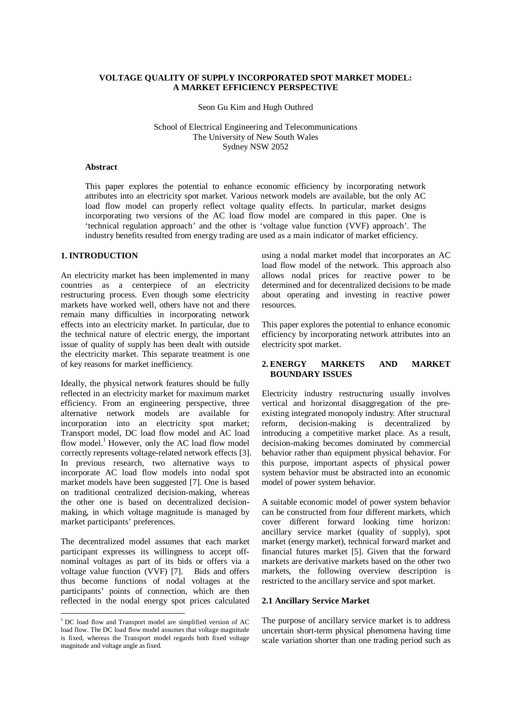## **VOLTAGE QUALITY OF SUPPLY INCORPORATED SPOT MARKET MODEL: A MARKET EFFICIENCY PERSPECTIVE**

Seon Gu Kim and Hugh Outhred

School of Electrical Engineering and Telecommunications The University of New South Wales Sydney NSW 2052

## **Abstract**

This paper explores the potential to enhance economic efficiency by incorporating network attributes into an electricity spot market. Various network models are available, but the only AC load flow model can properly reflect voltage quality effects. In particular, market designs incorporating two versions of the AC load flow model are compared in this paper. One is 'technical regulation approach' and the other is 'voltage value function (VVF) approach'. The industry benefits resulted from energy trading are used as a main indicator of market efficiency.

## **1. INTRODUCTION**

An electricity market has been implemented in many countries as a centerpiece of an electricity restructuring process. Even though some electricity markets have worked well, others have not and there remain many difficulties in incorporating network effects into an electricity market. In particular, due to the technical nature of electric energy, the important issue of quality of supply has been dealt with outside the electricity market. This separate treatment is one of key reasons for market inefficiency.

Ideally, the physical network features should be fully reflected in an electricity market for maximum market efficiency. From an engineering perspective, three alternative network models are available for incorporation into an electricity spot market; Transport model, DC load flow model and AC load flow model.<sup>1</sup> However, only the AC load flow model correctly represents voltage-related network effects [3]. In previous research, two alternative ways to incorporate AC load flow models into nodal spot market models have been suggested [7]. One is based on traditional centralized decision-making, whereas the other one is based on decentralized decisionmaking, in which voltage magnitude is managed by market participants' preferences.

The decentralized model assumes that each market participant expresses its willingness to accept offnominal voltages as part of its bids or offers via a voltage value function (VVF) [7]. Bids and offers thus become functions of nodal voltages at the participants' points of connection, which are then reflected in the nodal energy spot prices calculated

using a nodal market model that incorporates an AC load flow model of the network. This approach also allows nodal prices for reactive power to be determined and for decentralized decisions to be made about operating and investing in reactive power resources.

This paper explores the potential to enhance economic efficiency by incorporating network attributes into an electricity spot market.

# **2. ENERGY MARKETS AND MARKET BOUNDARY ISSUES**

Electricity industry restructuring usually involves vertical and horizontal disaggregation of the preexisting integrated monopoly industry. After structural reform, decision-making is decentralized by introducing a competitive market place. As a result, decision-making becomes dominated by commercial behavior rather than equipment physical behavior. For this purpose, important aspects of physical power system behavior must be abstracted into an economic model of power system behavior.

A suitable economic model of power system behavior can be constructed from four different markets, which cover different forward looking time horizon: ancillary service market (quality of supply), spot market (energy market), technical forward market and financial futures market [5]. Given that the forward markets are derivative markets based on the other two markets, the following overview description is restricted to the ancillary service and spot market.

### **2.1 Ancillary Service Market**

The purpose of ancillary service market is to address uncertain short-term physical phenomena having time scale variation shorter than one trading period such as

<sup>&</sup>lt;sup>1</sup> DC load flow and Transport model are simplified version of AC load flow. The DC load flow model assumes that voltage magnitude is fixed, whereas the Transport model regards both fixed voltage magnitude and voltage angle as fixed.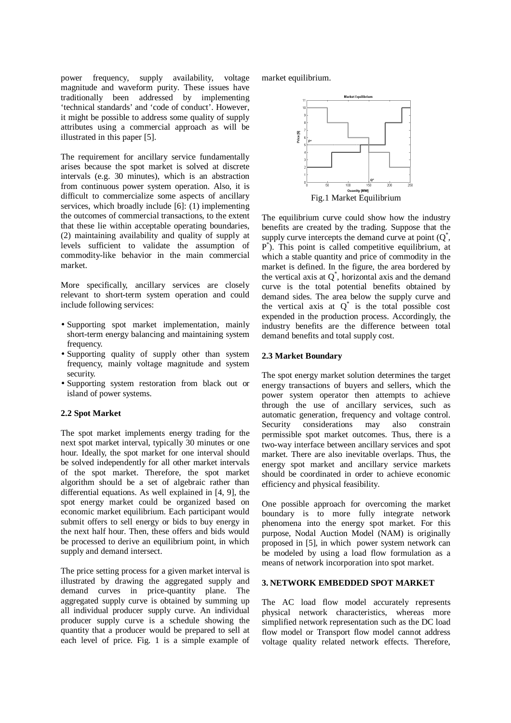power frequency, supply availability, voltage magnitude and waveform purity. These issues have traditionally been addressed by implementing 'technical standards' and 'code of conduct'. However, it might be possible to address some quality of supply attributes using a commercial approach as will be illustrated in this paper [5].

The requirement for ancillary service fundamentally arises because the spot market is solved at discrete intervals (e.g. 30 minutes), which is an abstraction from continuous power system operation. Also, it is difficult to commercialize some aspects of ancillary services, which broadly include [6]: (1) implementing the outcomes of commercial transactions, to the extent that these lie within acceptable operating boundaries, (2) maintaining availability and quality of supply at levels sufficient to validate the assumption of commodity-like behavior in the main commercial market.

More specifically, ancillary services are closely relevant to short-term system operation and could include following services:

- short-term energy balancing and maintaining system Supporting spot market implementation, mainly frequency.
- Experiment quality of supply once that system • Supporting quality of supply other than system security.
- supporting system Text<br>island of power systems. Supporting system restoration from black out or

## **2.2 Spot Market**

The spot market implements energy trading for the next spot market interval, typically 30 minutes or one hour. Ideally, the spot market for one interval should be solved independently for all other market intervals of the spot market. Therefore, the spot market algorithm should be a set of algebraic rather than differential equations. As well explained in [4, 9], the spot energy market could be organized based on economic market equilibrium. Each participant would submit offers to sell energy or bids to buy energy in the next half hour. Then, these offers and bids would be processed to derive an equilibrium point, in which supply and demand intersect.

The price setting process for a given market interval is illustrated by drawing the aggregated supply and demand curves in price-quantity plane. The aggregated supply curve is obtained by summing up all individual producer supply curve. An individual producer supply curve is a schedule showing the quantity that a producer would be prepared to sell at each level of price. Fig. 1 is a simple example of

market equilibrium.



The equilibrium curve could show how the industry benefits are created by the trading. Suppose that the supply curve intercepts the demand curve at point  $(Q^*$ , P\* ). This point is called competitive equilibrium, at which a stable quantity and price of commodity in the market is defined. In the figure, the area bordered by the vertical axis at  $Q^*$ , horizontal axis and the demand curve is the total potential benefits obtained by demand sides. The area below the supply curve and the vertical axis at  $O^*$  is the total possible cost expended in the production process. Accordingly, the industry benefits are the difference between total demand benefits and total supply cost.

#### **2.3 Market Boundary**

The spot energy market solution determines the target energy transactions of buyers and sellers, which the power system operator then attempts to achieve through the use of ancillary services, such as automatic generation, frequency and voltage control. Security considerations may also constrain permissible spot market outcomes. Thus, there is a two-way interface between ancillary services and spot market. There are also inevitable overlaps. Thus, the energy spot market and ancillary service markets should be coordinated in order to achieve economic efficiency and physical feasibility.

One possible approach for overcoming the market boundary is to more fully integrate network phenomena into the energy spot market. For this purpose, Nodal Auction Model (NAM) is originally proposed in [5], in which power system network can be modeled by using a load flow formulation as a means of network incorporation into spot market.

#### **3. NETWORK EMBEDDED SPOT MARKET**

The AC load flow model accurately represents physical network characteristics, whereas more simplified network representation such as the DC load flow model or Transport flow model cannot address voltage quality related network effects. Therefore,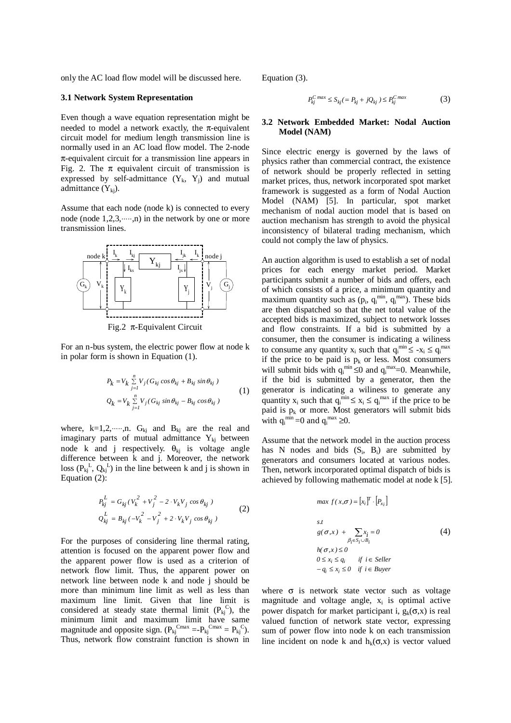only the AC load flow model will be discussed here.

#### **3.1 Network System Representation**

Even though a wave equation representation might be needed to model a network exactly, the  $\pi$ -equivalent circuit model for medium length transmission line is normally used in an AC load flow model. The 2-node  $\pi$ -equivalent circuit for a transmission line appears in Fig. 2. The  $\pi$  equivalent circuit of transmission is expressed by self-admittance  $(Y_k, Y_i)$  and mutual admittance  $(Y_{ki})$ .

Assume that each node (node k) is connected to every node (node  $1,2,3,\dots,n$ ) in the network by one or more transmission lines.



Fig.2 π-Equivalent Circuit

For an n-bus system, the electric power flow at node k in polar form is shown in Equation (1).

$$
P_k = V_k \sum_{j=1}^n V_j (G_{kj} \cos \theta_{kj} + B_{kj} \sin \theta_{kj})
$$
  
\n
$$
Q_k = V_k \sum_{j=1}^n V_j (G_{kj} \sin \theta_{kj} - B_{kj} \cos \theta_{kj})
$$
\n(1)

where, k=1,2, ....,n.  $G_{ki}$  and  $B_{ki}$  are the real and imaginary parts of mutual admittance  $Y_{ki}$  between node k and j respectively.  $\theta_{kj}$  is voltage angle difference between k and j. Moreover, the network loss  $(P_{kj}^L, Q_{kj}^L)$  in the line between k and j is shown in Equation (2):

$$
P_{kj}^{L} = G_{kj} (V_k^2 + V_j^2 - 2 \cdot V_k V_j \cos \theta_{kj})
$$
  
\n
$$
Q_{kj}^{L} = B_{kj} (-V_k^2 - V_j^2 + 2 \cdot V_k V_j \cos \theta_{kj})
$$
\n(2)

For the purposes of considering line thermal rating, attention is focused on the apparent power flow and the apparent power flow is used as a criterion of network flow limit. Thus, the apparent power on network line between node k and node j should be more than minimum line limit as well as less than maximum line limit. Given that line limit is considered at steady state thermal limit  $(P_{kj}^C)$ , the minimum limit and maximum limit have same magnitude and opposite sign.  $(P_{kj}^{Cmax} = P_{kj}^{Cmax} = P_{kj}^{C})$ . Thus, network flow constraint function is shown in Equation (3).

$$
P_{kj}^{C \ max} \leq S_{kj} (= P_{kj} + jQ_{kj}) \leq P_{kj}^{C \ max} \tag{3}
$$

### **3.2 Network Embedded Market: Nodal Auction Model (NAM)**

Since electric energy is governed by the laws of physics rather than commercial contract, the existence of network should be properly reflected in setting market prices, thus, network incorporated spot market framework is suggested as a form of Nodal Auction Model (NAM) [5]. In particular, spot market mechanism of nodal auction model that is based on auction mechanism has strength to avoid the physical inconsistency of bilateral trading mechanism, which could not comply the law of physics.

An auction algorithm is used to establish a set of nodal prices for each energy market period. Market participants submit a number of bids and offers, each of which consists of a price, a minimum quantity and maximum quantity such as  $(p_i, q_i^{min}, q_i^{max})$ . These bids are then dispatched so that the net total value of the accepted bids is maximized, subject to network losses and flow constraints. If a bid is submitted by a consumer, then the consumer is indicating a wiliness to consume any quantity  $x_i$  such that  $q_i^{\min} \leq -x_i \leq q_i^{\max}$ if the price to be paid is  $p_k$  or less. Most consumers will submit bids with  $q_i^{\min} \le 0$  and  $q_i^{\max} = 0$ . Meanwhile, if the bid is submitted by a generator, then the generator is indicating a wiliness to generate any quantity  $x_i$  such that  $q_i^{min} \le x_i \le q_i^{max}$  if the price to be paid is  $p_k$  or more. Most generators will submit bids with  $q_i^{min} = 0$  and  $q_i^{max} \ge 0$ .

Assume that the network model in the auction process has N nodes and bids  $(S_i, B_i)$  are submitted by generators and consumers located at various nodes. Then, network incorporated optimal dispatch of bids is achieved by following mathematic model at node k [5].

$$
\max f(x, \sigma) = [x_i]^T \cdot [P_{x_i}]
$$
\n
$$
s.t
$$
\n
$$
g(\sigma, x) + \sum_{\beta_i \in S_i \cup B_i} x_i = 0
$$
\n
$$
h(\sigma, x) \le 0
$$
\n
$$
0 \le x_i \le q_i \quad \text{if } i \in Seller
$$
\n
$$
-q_i \le x_i \le 0 \quad \text{if } i \in Buyer
$$
\n
$$
f(\sigma, x) = 0
$$

where  $\sigma$  is network state vector such as voltage magnitude and voltage angle,  $x_i$  is optimal active power dispatch for market participant i,  $g_k(\sigma, x)$  is real valued function of network state vector, expressing sum of power flow into node k on each transmission line incident on node k and  $h_k(\sigma, x)$  is vector valued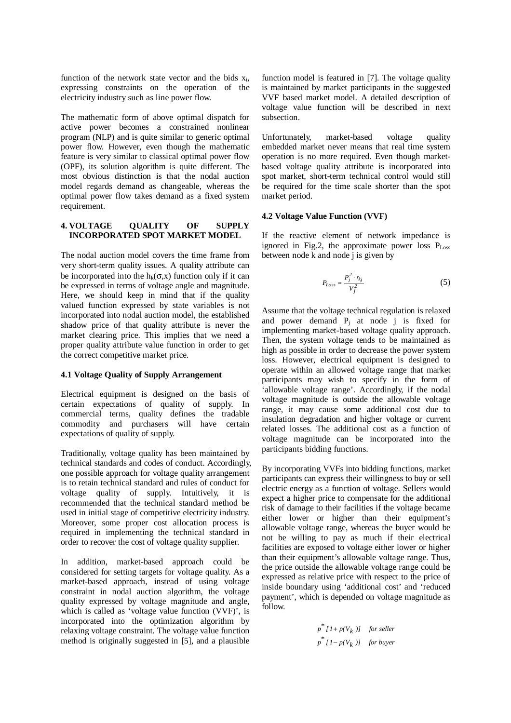function of the network state vector and the bids  $x_i$ , expressing constraints on the operation of the electricity industry such as line power flow.

The mathematic form of above optimal dispatch for active power becomes a constrained nonlinear program (NLP) and is quite similar to generic optimal power flow. However, even though the mathematic feature is very similar to classical optimal power flow (OPF), its solution algorithm is quite different. The most obvious distinction is that the nodal auction model regards demand as changeable, whereas the optimal power flow takes demand as a fixed system requirement.

#### **4. VOLTAGE QUALITY OF SUPPLY INCORPORATED SPOT MARKET MODEL**

The nodal auction model covers the time frame from very short-term quality issues. A quality attribute can be incorporated into the  $h_k(\sigma, x)$  function only if it can be expressed in terms of voltage angle and magnitude. Here, we should keep in mind that if the quality valued function expressed by state variables is not incorporated into nodal auction model, the established shadow price of that quality attribute is never the market clearing price. This implies that we need a proper quality attribute value function in order to get the correct competitive market price.

# **4.1 Voltage Quality of Supply Arrangement**

Electrical equipment is designed on the basis of certain expectations of quality of supply. In commercial terms, quality defines the tradable commodity and purchasers will have certain expectations of quality of supply.

Traditionally, voltage quality has been maintained by technical standards and codes of conduct. Accordingly, one possible approach for voltage quality arrangement is to retain technical standard and rules of conduct for voltage quality of supply. Intuitively, it is recommended that the technical standard method be used in initial stage of competitive electricity industry. Moreover, some proper cost allocation process is required in implementing the technical standard in order to recover the cost of voltage quality supplier.

In addition, market-based approach could be considered for setting targets for voltage quality. As a market-based approach, instead of using voltage constraint in nodal auction algorithm, the voltage quality expressed by voltage magnitude and angle, which is called as 'voltage value function (VVF)', is incorporated into the optimization algorithm by relaxing voltage constraint. The voltage value function method is originally suggested in [5], and a plausible

function model is featured in [7]. The voltage quality is maintained by market participants in the suggested VVF based market model. A detailed description of voltage value function will be described in next subsection.

Unfortunately, market-based voltage quality embedded market never means that real time system operation is no more required. Even though marketbased voltage quality attribute is incorporated into spot market, short-term technical control would still be required for the time scale shorter than the spot market period.

# **4.2 Voltage Value Function (VVF)**

If the reactive element of network impedance is ignored in Fig.2, the approximate power loss  $P_{Loss}$ between node k and node j is given by

$$
P_{Loss} \approx \frac{P_j^2 \cdot r_{kj}}{V_j^2} \tag{5}
$$

Assume that the voltage technical regulation is relaxed and power demand  $P_i$  at node j is fixed for implementing market-based voltage quality approach. Then, the system voltage tends to be maintained as high as possible in order to decrease the power system loss. However, electrical equipment is designed to operate within an allowed voltage range that market participants may wish to specify in the form of 'allowable voltage range'. Accordingly, if the nodal voltage magnitude is outside the allowable voltage range, it may cause some additional cost due to insulation degradation and higher voltage or current related losses. The additional cost as a function of voltage magnitude can be incorporated into the participants bidding functions.

By incorporating VVFs into bidding functions, market participants can express their willingness to buy or sell electric energy as a function of voltage. Sellers would expect a higher price to compensate for the additional risk of damage to their facilities if the voltage became either lower or higher than their equipment's allowable voltage range, whereas the buyer would be not be willing to pay as much if their electrical facilities are exposed to voltage either lower or higher than their equipment's allowable voltage range. Thus, the price outside the allowable voltage range could be expressed as relative price with respect to the price of inside boundary using 'additional cost' and 'reduced payment', which is depended on voltage magnitude as follow.

$$
p^* [I + p(V_k)]
$$
 for seller  

$$
p^* [I - p(V_k)]
$$
 for buyer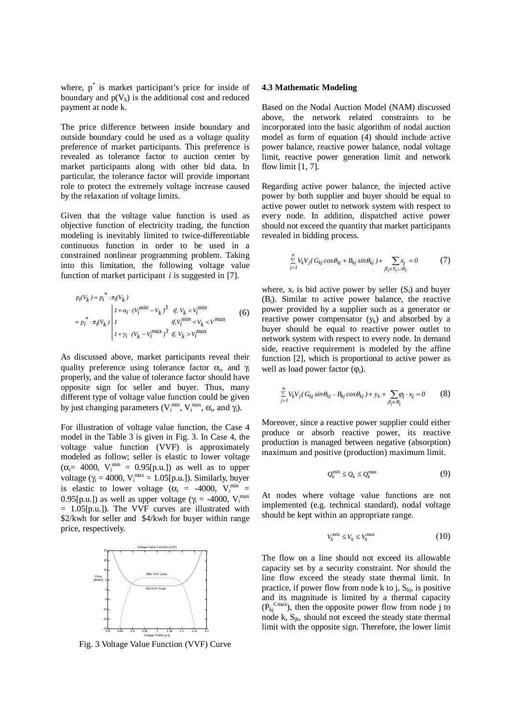where,  $p^*$  is market participant's price for inside of boundary and  $p(V_k)$  is the additional cost and reduced payment at node k.

The price difference between inside boundary and outside boundary could be used as a voltage quality preference of market participants. This preference is revealed as tolerance factor to auction center by market participants along with other bid data. In particular, the tolerance factor will provide important role to protect the extremely voltage increase caused by the relaxation of voltage limits.

Given that the voltage value function is used as objective function of electricity trading, the function modeling is inevitably limited to twice-differentiable continuous function in order to be used in a constrained nonlinear programming problem. Taking into this limitation, the following voltage value function of market participant *i* is suggested in [7].

$$
p_i(V_k) = p_i^* \cdot \pi_i(V_k)
$$
\n
$$
= p_i^* \cdot \pi_i(V_k) \begin{vmatrix}\n1 + a_i \cdot (V_i^{min} - V_k)^3 & \text{if } V_k < V_i^{min} \\
1 & \text{if } V_i^{min} < V_k < V^{max}\n\end{vmatrix} \quad (6)
$$
\n
$$
1 + \gamma_i \cdot (V_k - V_i^{max})^3 & \text{if } V_k > V_i^{max}
$$

As discussed above, market participants reveal their quality preference using tolerance factor  $\alpha_i$ , and  $\gamma_i$ properly, and the value of tolerance factor should have opposite sign for seller and buyer. Thus, many different type of voltage value function could be given by just changing parameters ( $V_i^{min}$ ,  $V_i^{max}$ ,  $\alpha_i$ , and  $\gamma_i$ ).

For illustration of voltage value function, the Case 4 model in the Table 3 is given in Fig. 3. In Case 4, the voltage value function (VVF) is approximately modeled as follow; seller is elastic to lower voltage  $(\alpha_i = 4000, V_i^{min} = 0.95[p.u.])$  as well as to upper voltage ( $\gamma_i = 4000$ ,  $V_i^{max} = 1.05[p.u.]$ ). Similarly, buyer is elastic to lower voltage ( $\alpha_i$  = -4000, V<sub>i</sub><sup>min</sup> = 0.95[p.u.]) as well as upper voltage ( $\gamma_i = -4000$ ,  $V_i^{max}$ = 1.05[p.u.]). The VVF curves are illustrated with \$2/kwh for seller and \$4/kwh for buyer within range price, respectively.



Fig. 3 Voltage Value Function (VVF) Curve

### **4.3 Mathematic Modeling**

Based on the Nodal Auction Model (NAM) discussed above, the network related constraints to be incorporated into the basic algorithm of nodal auction model as form of equation (4) should include active power balance, reactive power balance, nodal voltage limit, reactive power generation limit and network flow limit [1, 7].

Regarding active power balance, the injected active power by both supplier and buyer should be equal to active power outlet to network system with respect to every node. In addition, dispatched active power should not exceed the quantity that market participants revealed in bidding process.

$$
\sum_{j=1}^{n} V_k V_j (G_{kj} \cos \theta_{kj} + B_{kj} \sin \theta_{kj}) + \sum_{\beta_i \in S_i \cup B_i} x_i = 0 \tag{7}
$$

where,  $x_i$  is bid active power by seller  $(S_i)$  and buyer (Bi). Similar to active power balance, the reactive power provided by a supplier such as a generator or reactive power compensator  $(y_k)$  and absorbed by a buyer should be equal to reactive power outlet to network system with respect to every node. In demand side, reactive requirement is modeled by the affine function [2], which is proportional to active power as well as load power factor  $(\varphi_i)$ .

$$
\sum_{j=l}^{n} V_k V_j (G_{kj} \sin \theta_{kj} - B_{kj} \cos \theta_{kj}) + y_k + \sum_{\beta_i \in B_i} \varphi_i \cdot x_i = 0
$$
 (8)

Moreover, since a reactive power supplier could either produce or absorb reactive power, its reactive production is managed between negative (absorption) maximum and positive (production) maximum limit.

$$
Q_k^{min} \le Q_k \le Q_k^{max} \tag{9}
$$

At nodes where voltage value functions are not implemented (e.g. technical standard), nodal voltage should be kept within an appropriate range.

$$
V_k^{min} \le V_k \le V_k^{max} \tag{10}
$$

The flow on a line should not exceed its allowable capacity set by a security constraint. Nor should the line flow exceed the steady state thermal limit. In practice, if power flow from node k to j,  $S_{ki}$ , is positive and its magnitude is limited by a thermal capacity  $(P_{kj}^{Cmax})$ , then the opposite power flow from node j to node k,  $S_{ik}$ , should not exceed the steady state thermal limit with the opposite sign. Therefore, the lower limit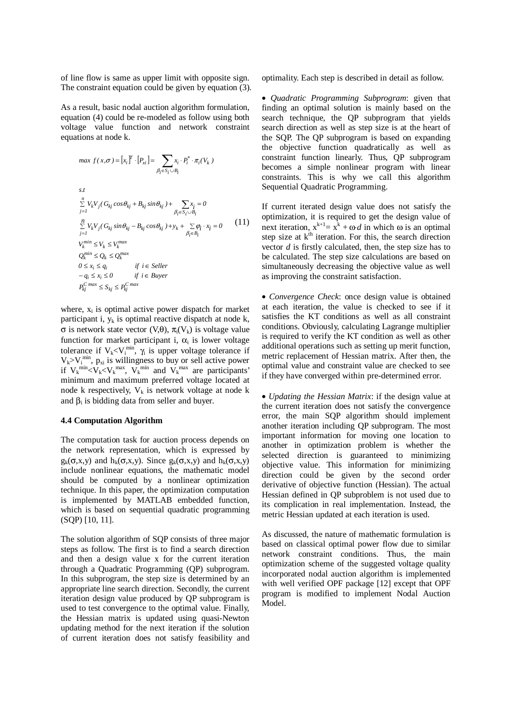of line flow is same as upper limit with opposite sign. The constraint equation could be given by equation (3).

As a result, basic nodal auction algorithm formulation, equation (4) could be re-modeled as follow using both voltage value function and network constraint equations at node k.

$$
max f(x, \sigma) = [x_i]^T \cdot [P_{xi}] = \sum_{\beta_i \in S_i \cup B_i} x_i \cdot P_i^* \cdot \pi_i(V_k)
$$
  
s.t  

$$
\sum_{j=1}^n V_k V_j (G_{kj} \cos \theta_{kj} + B_{kj} \sin \theta_{kj}) + \sum_{\beta_i \in S_i \cup B_i} x_i = 0
$$
  

$$
\sum_{j=1}^n V_k V_j (G_{kj} \sin \theta_{kj} - B_{kj} \cos \theta_{kj}) + y_k + \sum_{\beta_i \in B_i} \varphi_i \cdot x_i = 0
$$
  

$$
V_k^{min} \le V_k \le V_k^{max}
$$
  

$$
Q_k^{min} \le Q_k \le Q_k^{max}
$$
  

$$
0 \le x_i \le q_i
$$
 if  $i \in Seller$   

$$
-q_i \le x_i \le 0
$$
 if  $i \in Buyer$   

$$
P_{kj}^{C max} \le S_{kj} \le P_{kj}^{C max}
$$

where,  $x_i$  is optimal active power dispatch for market participant i,  $y_k$  is optimal reactive dispatch at node k, σ is network state vector (V,θ),  $\pi_i(V_k)$  is voltage value function for market participant i,  $\alpha_i$  is lower voltage tolerance if  $V_k < V_i^{min}$ ,  $\gamma_i$  is upper voltage tolerance if  $V_k > V_i^{min}$ ,  $p_{xi}$  is willingness to buy or sell active power if  $V_k^{\min} < V_k < V_k^{\max}$ ,  $V_k^{\min}$  and  $V_k^{\max}$  are participants' minimum and maximum preferred voltage located at node k respectively,  $V_k$  is network voltage at node k and  $\beta_i$  is bidding data from seller and buyer.

#### **4.4 Computation Algorithm**

The computation task for auction process depends on the network representation, which is expressed by  $g_k(\sigma, x, y)$  and  $h_k(\sigma, x, y)$ . Since  $g_k(\sigma, x, y)$  and  $h_k(\sigma, x, y)$ include nonlinear equations, the mathematic model should be computed by a nonlinear optimization technique. In this paper, the optimization computation is implemented by MATLAB embedded function, which is based on sequential quadratic programming (SQP) [10, 11].

The solution algorithm of SQP consists of three major steps as follow. The first is to find a search direction and then a design value x for the current iteration through a Quadratic Programming (QP) subprogram. In this subprogram, the step size is determined by an appropriate line search direction. Secondly, the current iteration design value produced by QP subprogram is used to test convergence to the optimal value. Finally, the Hessian matrix is updated using quasi-Newton updating method for the next iteration if the solution of current iteration does not satisfy feasibility and optimality. Each step is described in detail as follow.

• *Quadratic Programming Subprogram*: given that finding an optimal solution is mainly based on the search technique, the QP subprogram that yields search direction as well as step size is at the heart of the SQP. The QP subprogram is based on expanding the objective function quadratically as well as constraint function linearly. Thus, QP subprogram becomes a simple nonlinear program with linear constraints. This is why we call this algorithm Sequential Quadratic Programming.

If current iterated design value does not satisfy the optimization, it is required to get the design value of next iteration,  $x^{k+1} = x^k + \omega \, d$  in which  $\omega$  is an optimal step size at k<sup>th</sup> iteration. For this, the search direction vector *d* is firstly calculated, then, the step size has to be calculated. The step size calculations are based on simultaneously decreasing the objective value as well as improving the constraint satisfaction.

• *Convergence Check*: once design value is obtained at each iteration, the value is checked to see if it satisfies the KT conditions as well as all constraint conditions. Obviously, calculating Lagrange multiplier is required to verify the KT condition as well as other additional operations such as setting up merit function, metric replacement of Hessian matrix. After then, the optimal value and constraint value are checked to see if they have converged within pre-determined error.

• *Updating the Hessian Matrix*: if the design value at the current iteration does not satisfy the convergence error, the main SQP algorithm should implement another iteration including QP subprogram. The most important information for moving one location to another in optimization problem is whether the selected direction is guaranteed to minimizing objective value. This information for minimizing direction could be given by the second order derivative of objective function (Hessian). The actual Hessian defined in QP subproblem is not used due to its complication in real implementation. Instead, the metric Hessian updated at each iteration is used.

As discussed, the nature of mathematic formulation is based on classical optimal power flow due to similar network constraint conditions. Thus, the main optimization scheme of the suggested voltage quality incorporated nodal auction algorithm is implemented with well verified OPF package [12] except that OPF program is modified to implement Nodal Auction Model.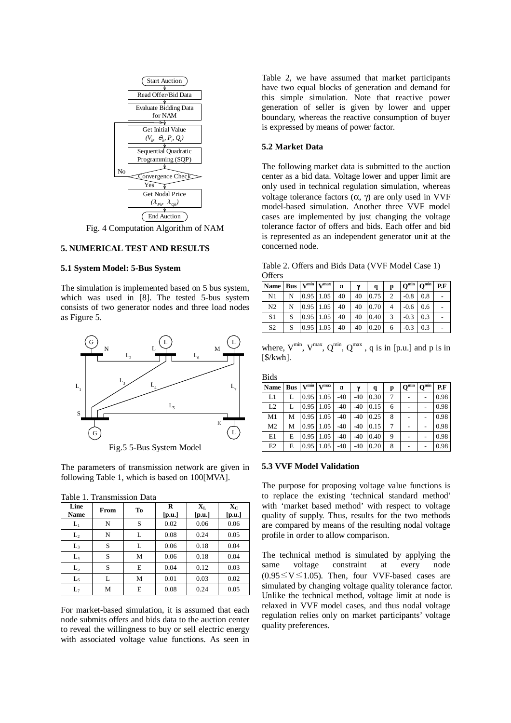

Fig. 4 Computation Algorithm of NAM

# **5. NUMERICAL TEST AND RESULTS**

## **5.1 System Model: 5-Bus System**

The simulation is implemented based on 5 bus system, which was used in [8]. The tested 5-bus system consists of two generator nodes and three load nodes as Figure 5.



Fig.5 5-Bus System Model

The parameters of transmission network are given in following Table 1, which is based on 100[MVA].

Table 1. Transmission Data

| Line<br>Name   | From | To | $\bf{R}$<br>[p.u.] | $\mathbf{X}_{\mathrm{L}}$<br>[p.u.] | $\mathbf{X}_{\mathbf{C}}$<br>[p.u.] |
|----------------|------|----|--------------------|-------------------------------------|-------------------------------------|
| $L_1$          | N    | S  | 0.02               | 0.06                                | 0.06                                |
| L <sub>2</sub> | N    | L  | 0.08               | 0.24                                | 0.05                                |
| L <sub>3</sub> | S    | L  | 0.06               | 0.18                                | 0.04                                |
| $L_4$          | S    | М  | 0.06               | 0.18                                | 0.04                                |
| $L_5$          | S    | E  | 0.04               | 0.12                                | 0.03                                |
| $L_6$          | L    | М  | 0.01               | 0.03                                | 0.02                                |
| $L_7$          | М    | Е  | 0.08               | 0.24                                | 0.05                                |

For market-based simulation, it is assumed that each node submits offers and bids data to the auction center to reveal the willingness to buy or sell electric energy with associated voltage value functions. As seen in Table 2, we have assumed that market participants have two equal blocks of generation and demand for this simple simulation. Note that reactive power generation of seller is given by lower and upper boundary, whereas the reactive consumption of buyer is expressed by means of power factor.

## **5.2 Market Data**

The following market data is submitted to the auction center as a bid data. Voltage lower and upper limit are only used in technical regulation simulation, whereas voltage tolerance factors  $(α, γ)$  are only used in VVF model-based simulation. Another three VVF model cases are implemented by just changing the voltage tolerance factor of offers and bids. Each offer and bid is represented as an independent generator unit at the concerned node.

Table 2. Offers and Bids Data (VVF Model Case 1) **Offers** 

| Name   Bus   $V^{min}$   $V^{max}$ |   |             | α  | $\mathbf v$ | q    | p | $Q^{min}$   $Q^{min}$ |     | P.F |
|------------------------------------|---|-------------|----|-------------|------|---|-----------------------|-----|-----|
| N1                                 | N | 0.95 1.05   | 40 | 40          | 0.75 | 2 | $-0.8$                | 0.8 |     |
| N <sub>2</sub>                     |   | 0.95 1.05   | 40 | 40          | 0.70 |   | $-0.6$                | 0.6 |     |
| S1                                 |   | $0.95$ 1.05 | 40 | 40          | 0.40 | 3 | $-0.3$                | 0.3 |     |
| S <sub>2</sub>                     |   | 0.95 1.05   | 40 | 40          | 0.20 | 6 | $-0.3$                | 0.3 |     |

where,  $V^{\min}$ ,  $V^{\max}$ ,  $Q^{\min}$ ,  $Q^{\max}$ , q is in [p.u.] and p is in [\$/kwh].

**Bids** 

| <b>Name</b>    | <b>Bus</b> | $V^{\min}$ | V <sub>max</sub>    | α     | γ     | q    | р | $\textbf{Q}^{\min}$ | $Q^{\min}$ | P.F  |
|----------------|------------|------------|---------------------|-------|-------|------|---|---------------------|------------|------|
| L1             |            |            | $0.95 \,   \, 1.05$ | $-40$ | $-40$ | 0.30 |   |                     |            | 0.98 |
| L2             |            |            | $0.95 \,   \, 1.05$ | $-40$ | $-40$ | 0.15 | 6 |                     |            | 0.98 |
| M1             | М          | 0.95       | 1.05                | $-40$ | $-40$ | 0.25 | 8 |                     |            | 0.98 |
| M2             | М          | 0.95       | 1.05                | $-40$ | $-40$ | 0.15 |   |                     |            | 0.98 |
| E1             | E          | 0.95       | 1.05                | $-40$ | $-40$ | 0.40 | 9 |                     |            | 0.98 |
| E <sub>2</sub> | E          | 0.95       | 1.05                | $-40$ | $-40$ | 0.20 | 8 |                     |            | 0.98 |

### **5.3 VVF Model Validation**

The purpose for proposing voltage value functions is to replace the existing 'technical standard method' with 'market based method' with respect to voltage quality of supply. Thus, results for the two methods are compared by means of the resulting nodal voltage profile in order to allow comparison.

The technical method is simulated by applying the same voltage constraint at every node  $(0.95 \le V \le 1.05)$ . Then, four VVF-based cases are simulated by changing voltage quality tolerance factor. Unlike the technical method, voltage limit at node is relaxed in VVF model cases, and thus nodal voltage regulation relies only on market participants' voltage quality preferences.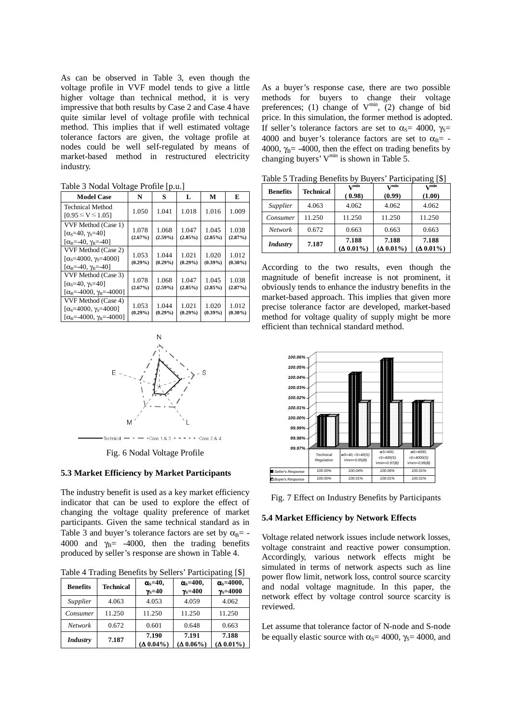As can be observed in Table 3, even though the voltage profile in VVF model tends to give a little higher voltage than technical method, it is very impressive that both results by Case 2 and Case 4 have quite similar level of voltage profile with technical method. This implies that if well estimated voltage tolerance factors are given, the voltage profile at nodes could be well self-regulated by means of market-based method in restructured electricity industry.

| <b>Model Case</b>                                                                                                  | N                   | S                   | L                   | М                   | E                   |
|--------------------------------------------------------------------------------------------------------------------|---------------------|---------------------|---------------------|---------------------|---------------------|
| <b>Technical Method</b><br>$[0.95 \le V \le 1.05]$                                                                 | 1.050               | 1.041               | 1.018               | 1.016               | 1.009               |
| VVF Method (Case 1)<br>$[\alpha_s = 40, \gamma_s = 40]$<br>$[\alpha_{\rm B} = -40, \gamma_{\rm B} = -40]$          | 1.078<br>(2.67%)    | 1.068<br>$(2.59\%)$ | 1.047<br>$(2.85\%)$ | 1.045<br>$(2.85\%)$ | 1.038<br>(2.87%)    |
| VVF Method (Case 2)<br>$\alpha_s = 4000$ , $\gamma_s = 4000$<br>$[\alpha_{\rm B} = -40, \gamma_{\rm B} = -40]$     | 1.053<br>$(0.29\%)$ | 1.044<br>$(0.29\%)$ | 1.021<br>$(0.29\%)$ | 1.020<br>$(0.39\%)$ | 1.012<br>$(0.30\%)$ |
| VVF Method (Case 3)<br>$[\alpha_s = 40, \gamma_s = 40]$<br>$[\alpha_{\rm B} = -4000, \gamma_{\rm B} = -4000]$      | 1.078<br>(2.67%)    | 1.068<br>$(2.59\%)$ | 1.047<br>$(2.85\%)$ | 1.045<br>$(2.85\%)$ | 1.038<br>(2.87%)    |
| VVF Method (Case 4)<br>[ $\alpha_s$ =4000, $\gamma_s$ =4000]<br>$[\alpha_{\rm B} = -4000, \gamma_{\rm B} = -4000]$ | 1.053<br>$(0.29\%)$ | 1.044<br>$(0.29\%)$ | 1.021<br>$(0.29\%)$ | 1.020<br>$(0.39\%)$ | 1.012<br>$(0.30\%)$ |



Fig. 6 Nodal Voltage Profile

#### **5.3 Market Efficiency by Market Participants**

The industry benefit is used as a key market efficiency indicator that can be used to explore the effect of changing the voltage quality preference of market participants. Given the same technical standard as in Table 3 and buyer's tolerance factors are set by  $\alpha_{\text{B}}$ = -4000 and  $\gamma_B$ = -4000, then the trading benefits produced by seller's response are shown in Table 4.

Table 4 Trading Benefits by Sellers' Participating [\$]

| <b>Benefits</b> | <b>Technical</b> | $\alpha_s = 40$ ,<br>$\gamma_s = 40$ | $\alpha$ <sub>s</sub> =400,<br>$\gamma_s = 400$ | $\alpha$ <sub>s</sub> =4000,<br>$\gamma_s = 4000$ |
|-----------------|------------------|--------------------------------------|-------------------------------------------------|---------------------------------------------------|
| Supplier        | 4.063            | 4.053                                | 4.059                                           | 4.062                                             |
| Consumer        | 11.250           | 11.250                               | 11.250                                          | 11.250                                            |
| <b>Network</b>  | 0.672            | 0.601                                | 0.648                                           | 0.663                                             |
| <b>Industry</b> | 7.187            | 7.190<br>$(\Delta 0.04\%)$           | 7.191<br>$(\Delta 0.06\%)$                      | 7.188<br>$(\Delta 0.01\%)$                        |

As a buyer's response case, there are two possible methods for buyers to change their voltage preferences; (1) change of  $V^{\text{min}}$ , (2) change of bid price. In this simulation, the former method is adopted. If seller's tolerance factors are set to  $\alpha_s$ = 4000,  $\gamma_s$ = 4000 and buyer's tolerance factors are set to  $\alpha_{\text{B}}$  = -4000,  $\gamma_B$ = -4000, then the effect on trading benefits by changing buyers'  $V^{min}$  is shown in Table 5.

Table 5 Trading Benefits by Buyers' Participating [\$]

| <b>Benefits</b> | ັ<br><b>Technical</b> | x <sub>z</sub> min<br>(0.98) | $\mathbf{x}$ <i>r</i> min<br>(0.99) | <u>.</u><br>$\mathbf{v}$ min<br>(1.00) |
|-----------------|-----------------------|------------------------------|-------------------------------------|----------------------------------------|
| Supplier        | 4.063                 | 4.062                        | 4.062                               | 4.062                                  |
| Consumer        | 11.250                | 11.250                       | 11.250                              | 11.250                                 |
| <b>Network</b>  | 0.672                 | 0.663                        | 0.663                               | 0.663                                  |
| <b>Industry</b> | 7.187                 | 7.188<br>$(\Delta 0.01\%)$   | 7.188<br>$(\Delta 0.01\%)$          | 7.188<br>$(\Delta 0.01\%)$             |

According to the two results, even though the magnitude of benefit increase is not prominent, it obviously tends to enhance the industry benefits in the market-based approach. This implies that given more precise tolerance factor are developed, market-based method for voltage quality of supply might be more efficient than technical standard method.





#### **5.4 Market Efficiency by Network Effects**

Voltage related network issues include network losses, voltage constraint and reactive power consumption. Accordingly, various network effects might be simulated in terms of network aspects such as line power flow limit, network loss, control source scarcity and nodal voltage magnitude. In this paper, the network effect by voltage control source scarcity is reviewed.

Let assume that tolerance factor of N-node and S-node be equally elastic source with  $\alpha_s$ = 4000,  $\gamma_s$ = 4000, and